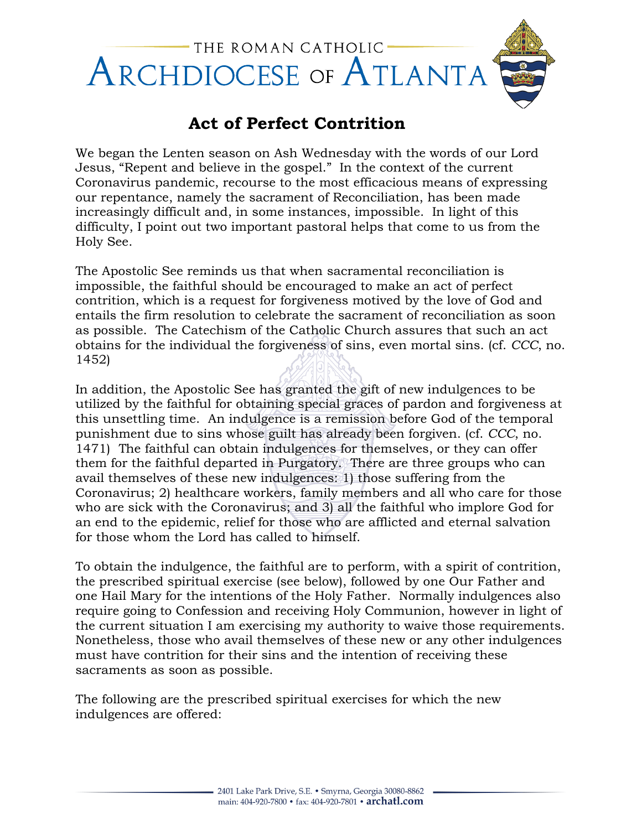

## **Act of Perfect Contrition**

We began the Lenten season on Ash Wednesday with the words of our Lord Jesus, "Repent and believe in the gospel." In the context of the current Coronavirus pandemic, recourse to the most efficacious means of expressing our repentance, namely the sacrament of Reconciliation, has been made increasingly difficult and, in some instances, impossible. In light of this difficulty, I point out two important pastoral helps that come to us from the Holy See.

The Apostolic See reminds us that when sacramental reconciliation is impossible, the faithful should be encouraged to make an act of perfect contrition, which is a request for forgiveness motived by the love of God and entails the firm resolution to celebrate the sacrament of reconciliation as soon as possible. The Catechism of the Catholic Church assures that such an act obtains for the individual the forgiveness of sins, even mortal sins. (cf. *CCC*, no. 1452)

In addition, the Apostolic See has granted the gift of new indulgences to be utilized by the faithful for obtaining special graces of pardon and forgiveness at this unsettling time. An indulgence is a remission before God of the temporal punishment due to sins whose guilt has already been forgiven. (cf. *CCC*, no. 1471) The faithful can obtain indulgences for themselves, or they can offer them for the faithful departed in Purgatory. There are three groups who can avail themselves of these new indulgences: 1) those suffering from the Coronavirus; 2) healthcare workers, family members and all who care for those who are sick with the Coronavirus; and 3) all the faithful who implore God for an end to the epidemic, relief for those who are afflicted and eternal salvation for those whom the Lord has called to himself.

To obtain the indulgence, the faithful are to perform, with a spirit of contrition, the prescribed spiritual exercise (see below), followed by one Our Father and one Hail Mary for the intentions of the Holy Father. Normally indulgences also require going to Confession and receiving Holy Communion, however in light of the current situation I am exercising my authority to waive those requirements. Nonetheless, those who avail themselves of these new or any other indulgences must have contrition for their sins and the intention of receiving these sacraments as soon as possible.

The following are the prescribed spiritual exercises for which the new indulgences are offered: